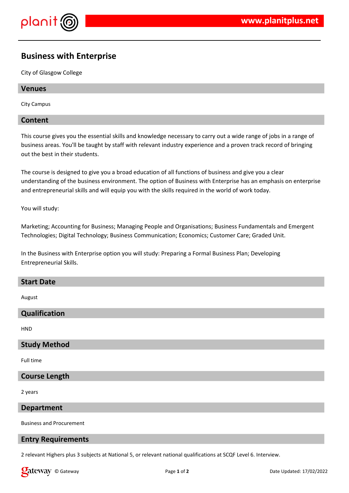

# **Business with Enterprise**

City of Glasgow College

## **Venues**

City Campus

#### **Content**

This course gives you the essential skills and knowledge necessary to carry out a wide range of jobs in a range of business areas. You'll be taught by staff with relevant industry experience and a proven track record of bringing out the best in their students.

The course is designed to give you a broad education of all functions of business and give you a clear understanding of the business environment. The option of Business with Enterprise has an emphasis on enterprise and entrepreneurial skills and will equip you with the skills required in the world of work today.

You will study:

Marketing; Accounting for Business; Managing People and Organisations; Business Fundamentals and Emergent Technologies; Digital Technology; Business Communication; Economics; Customer Care; Graded Unit.

In the Business with Enterprise option you will study: Preparing a Formal Business Plan; Developing Entrepreneurial Skills.

#### **Start Date**

August

## **Qualification**

**HND** 

## **Study Method**

Full time

## **Course Length**

2 years

### **Department**

Business and Procurement

#### **Entry Requirements**

2 relevant Highers plus 3 subjects at National 5, or relevant national qualifications at SCQF Level 6. Interview.